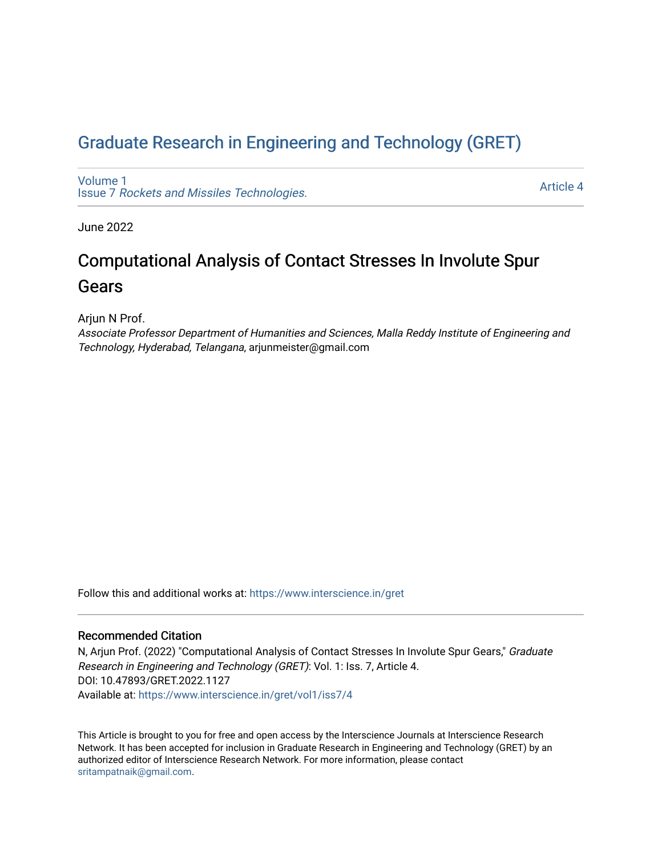## [Graduate Research in Engineering and Technology \(GRET\)](https://www.interscience.in/gret)

[Volume 1](https://www.interscience.in/gret/vol1) Issue 7 [Rockets and Missiles Technologies.](https://www.interscience.in/gret/vol1/iss7)

[Article 4](https://www.interscience.in/gret/vol1/iss7/4) 

June 2022

# Computational Analysis of Contact Stresses In Involute Spur Gears

Arjun N Prof.

Associate Professor Department of Humanities and Sciences, Malla Reddy Institute of Engineering and Technology, Hyderabad, Telangana, arjunmeister@gmail.com

Follow this and additional works at: [https://www.interscience.in/gret](https://www.interscience.in/gret?utm_source=www.interscience.in%2Fgret%2Fvol1%2Fiss7%2F4&utm_medium=PDF&utm_campaign=PDFCoverPages)

### Recommended Citation

N, Arjun Prof. (2022) "Computational Analysis of Contact Stresses In Involute Spur Gears," Graduate Research in Engineering and Technology (GRET): Vol. 1: Iss. 7, Article 4. DOI: 10.47893/GRET.2022.1127 Available at: [https://www.interscience.in/gret/vol1/iss7/4](https://www.interscience.in/gret/vol1/iss7/4?utm_source=www.interscience.in%2Fgret%2Fvol1%2Fiss7%2F4&utm_medium=PDF&utm_campaign=PDFCoverPages)

This Article is brought to you for free and open access by the Interscience Journals at Interscience Research Network. It has been accepted for inclusion in Graduate Research in Engineering and Technology (GRET) by an authorized editor of Interscience Research Network. For more information, please contact [sritampatnaik@gmail.com](mailto:sritampatnaik@gmail.com).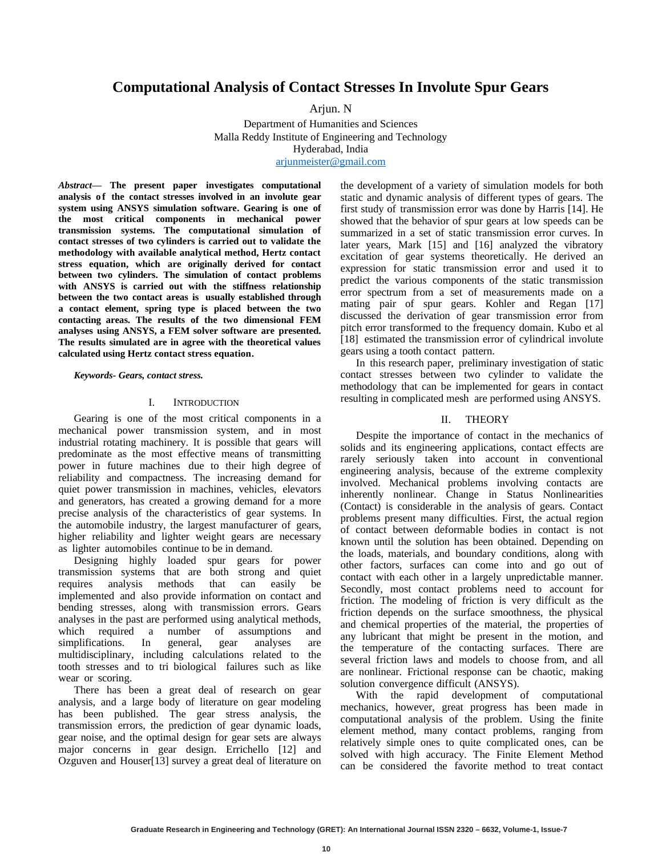## **Computational Analysis of Contact Stresses In Involute Spur Gears**

Arjun. N

Department of Humanities and Sciences Hyderabad, India [arjunmeister@gmail.com](mailto:arjunmeister@gmail.com) Malla Reddy Institute of Engineering and Technology

*Abstract***— The present paper investigates computational analysis o f the contact stresses involved in an involute gear system using ANSYS simulation software. Gearing is one of the most critical components in mechanical power transmission systems. The computational simulation of contact stresses of two cylinders is carried out to validate the methodology with available analytical method, Hertz contact stress equation, which are originally derived for contact between two cylinders. The simulation of contact problems with ANSYS is carried out with the stiffness relationship between the two contact areas is usually established through a contact element, spring type is placed between the two contacting areas. The results of the two dimensional FEM analyses using ANSYS, a FEM solver software are presented. The results simulated are in agree with the theoretical values calculated using Hertz contact stress equation.** 

*Keywords- Gears, contact stress.* 

#### I. INTRODUCTION

Gearing is one of the most critical components in a mechanical power transmission system, and in most industrial rotating machinery. It is possible that gears will predominate as the most effective means of transmitting power in future machines due to their high degree of reliability and compactness. The increasing demand for quiet power transmission in machines, vehicles, elevators and generators, has created a growing demand for a more precise analysis of the characteristics of gear systems. In the automobile industry, the largest manufacturer of gears, higher reliability and lighter weight gears are necessary as lighter automobiles continue to be in demand.

Designing highly loaded spur gears for power transmission systems that are both strong and quiet requires analysis methods that can easily be implemented and also provide information on contact and bending stresses, along with transmission errors. Gears analyses in the past are performed using analytical methods, which required a number of assumptions and simplifications. In general, gear analyses are multidisciplinary, including calculations related to the tooth stresses and to tri biological failures such as like wear or scoring.

There has been a great deal of research on gear analysis, and a large body of literature on gear modeling has been published. The gear stress analysis, the transmission errors, the prediction of gear dynamic loads, gear noise, and the optimal design for gear sets are always major concerns in gear design. Errichello [12] and Ozguven and Houser[13] survey a great deal of literature on the development of a variety of simulation models for both static and dynamic analysis of different types of gears. The first study of transmission error was done by Harris [14]. He showed that the behavior of spur gears at low speeds can be summarized in a set of static transmission error curves. In later years, Mark [15] and [16] analyzed the vibratory excitation of gear systems theoretically. He derived an expression for static transmission error and used it to predict the various components of the static transmission error spectrum from a set of measurements made on a mating pair of spur gears. Kohler and Regan [17] discussed the derivation of gear transmission error from pitch error transformed to the frequency domain. Kubo et al [18] estimated the transmission error of cylindrical involute gears using a tooth contact pattern.

In this research paper, preliminary investigation of static contact stresses between two cylinder to validate the methodology that can be implemented for gears in contact resulting in complicated mesh are performed using ANSYS.

### II. THEORY

Despite the importance of contact in the mechanics of solids and its engineering applications, contact effects are rarely seriously taken into account in conventional engineering analysis, because of the extreme complexity involved. Mechanical problems involving contacts are inherently nonlinear. Change in Status Nonlinearities (Contact) is considerable in the analysis of gears. Contact problems present many difficulties. First, the actual region of contact between deformable bodies in contact is not known until the solution has been obtained. Depending on the loads, materials, and boundary conditions, along with other factors, surfaces can come into and go out of contact with each other in a largely unpredictable manner. Secondly, most contact problems need to account for friction. The modeling of friction is very difficult as the friction depends on the surface smoothness, the physical and chemical properties of the material, the properties of any lubricant that might be present in the motion, and the temperature of the contacting surfaces. There are several friction laws and models to choose from, and all are nonlinear. Frictional response can be chaotic, making solution convergence difficult (ANSYS).

With the rapid development of computational mechanics, however, great progress has been made in computational analysis of the problem. Using the finite element method, many contact problems, ranging from relatively simple ones to quite complicated ones, can be solved with high accuracy. The Finite Element Method can be considered the favorite method to treat contact

**10**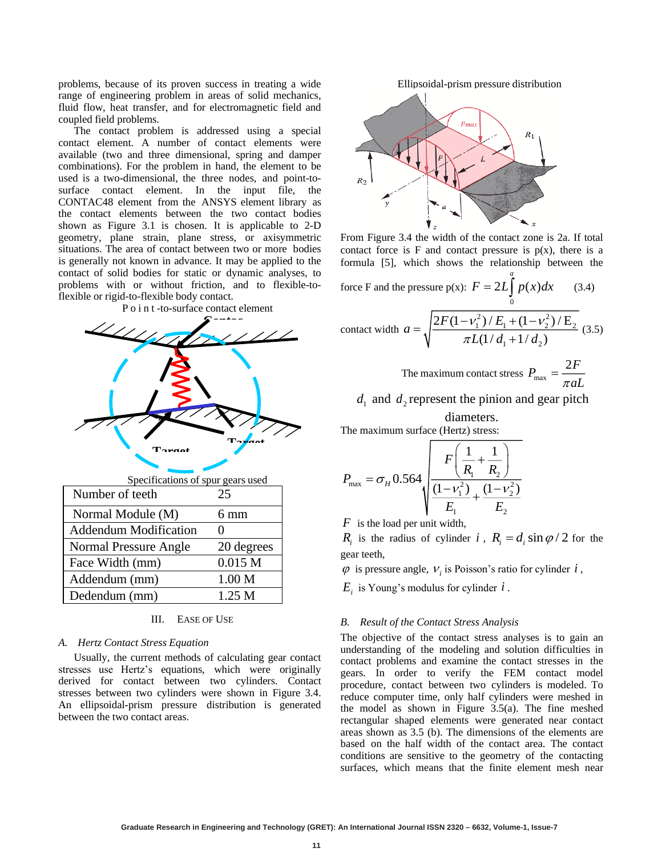problems, because of its proven success in treating a wide range of engineering problem in areas of solid mechanics, fluid flow, heat transfer, and for electromagnetic field and coupled field problems.

The contact problem is addressed using a special contact element. A number of contact elements were available (two and three dimensional, spring and damper combinations). For the problem in hand, the element to be used is a two-dimensional, the three nodes, and point-tosurface contact element. In the input file, the CONTAC48 element from the ANSYS element library as the contact elements between the two contact bodies shown as Figure 3.1 is chosen. It is applicable to 2-D geometry, plane strain, plane stress, or axisymmetric situations. The area of contact between two or more bodies is generally not known in advance. It may be applied to the contact of solid bodies for static or dynamic analyses, to problems with or without friction, and to flexible-toflexible or rigid-to-flexible body contact.





### III. EASE OF USE

#### *A. Hertz Contact Stress Equation*

Usually, the current methods of calculating gear contact stresses use Hertz's equations, which were originally derived for contact between two cylinders. Contact stresses between two cylinders were shown in Figure 3.4. An ellipsoidal-prism pressure distribution is generated between the two contact areas.

Ellipsoidal-prism pressure distribution



From Figure 3.4 the width of the contact zone is 2a. If total contact force is  $F$  and contact pressure is  $p(x)$ , there is a formula [5], which shows the relationship between the

force F and the pressure p(x): 
$$
F = 2L \int_{0}^{a} p(x)dx
$$
 (3.4)  
contact width  $a = \sqrt{\frac{2F(1 - v_1^2)/E_1 + (1 - v_2^2)/E_2}{\pi L(1/d_1 + 1/d_2)}}$  (3.5)

The maximum contact stress  $P_{\text{max}}$  $P_{\perp} = \frac{2F}{\sqrt{2}}$  $=\frac{}{\pi aL}$ 

 $d_1$  and  $d_2$  represent the pinion and gear pitch

diameters. The maximum surface (Hertz) stress:

$$
P_{\max} = \sigma_H 0.564 \sqrt{\frac{F\left(\frac{1}{R_1} + \frac{1}{R_2}\right)}{\frac{(1 - v_1^2)}{E_1} + \frac{(1 - v_2^2)}{E_2}}}
$$

*F* is the load per unit width,

 $R_i$  is the radius of cylinder *i*,  $R_i = d_i \sin \varphi / 2$  for the gear teeth,

 $\varphi$  is pressure angle,  $V_i$  is Poisson's ratio for cylinder  $i$ ,

 $E_i$  is Young's modulus for cylinder  $i$  .

#### *B. Result of the Contact Stress Analysis*

The objective of the contact stress analyses is to gain an understanding of the modeling and solution difficulties in contact problems and examine the contact stresses in the gears. In order to verify the FEM contact model procedure, contact between two cylinders is modeled. To reduce computer time, only half cylinders were meshed in the model as shown in Figure 3.5(a). The fine meshed rectangular shaped elements were generated near contact areas shown as 3.5 (b). The dimensions of the elements are based on the half width of the contact area. The contact conditions are sensitive to the geometry of the contacting surfaces, which means that the finite element mesh near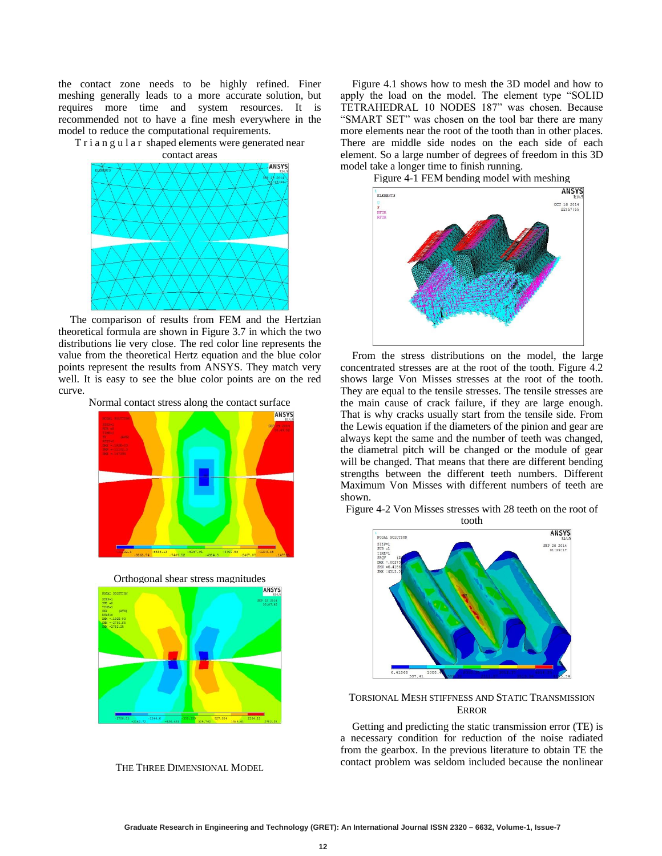the contact zone needs to be highly refined. Finer meshing generally leads to a more accurate solution, but requires more time and system resources. It is recommended not to have a fine mesh everywhere in the model to reduce the computational requirements.

T r i a n g u l a r shaped elements were generated near contact areas



The comparison of results from FEM and the Hertzian theoretical formula are shown in Figure 3.7 in which the two distributions lie very close. The red color line represents the value from the theoretical Hertz equation and the blue color points represent the results from ANSYS. They match very well. It is easy to see the blue color points are on the red curve.





Orthogonal shear stress magnitudes

![](_page_3_Figure_7.jpeg)

THE THREE DIMENSIONAL MODEL

Figure 4.1 shows how to mesh the 3D model and how to apply the load on the model. The element type "SOLID TETRAHEDRAL 10 NODES 187" was chosen. Because "SMART SET" was chosen on the tool bar there are many more elements near the root of the tooth than in other places. There are middle side nodes on the each side of each element. So a large number of degrees of freedom in this 3D model take a longer time to finish running.

Figure 4-1 FEM bending model with meshing

![](_page_3_Figure_11.jpeg)

From the stress distributions on the model, the large concentrated stresses are at the root of the tooth. Figure 4.2 shows large Von Misses stresses at the root of the tooth. They are equal to the tensile stresses. The tensile stresses are the main cause of crack failure, if they are large enough. That is why cracks usually start from the tensile side. From the Lewis equation if the diameters of the pinion and gear are always kept the same and the number of teeth was changed, the diametral pitch will be changed or the module of gear will be changed. That means that there are different bending strengths between the different teeth numbers. Different Maximum Von Misses with different numbers of teeth are shown.

Figure 4-2 Von Misses stresses with 28 teeth on the root of tooth

![](_page_3_Figure_14.jpeg)

#### TORSIONAL MESH STIFFNESS AND STATIC TRANSMISSION **ERROR**

Getting and predicting the static transmission error (TE) is a necessary condition for reduction of the noise radiated from the gearbox. In the previous literature to obtain TE the contact problem was seldom included because the nonlinear